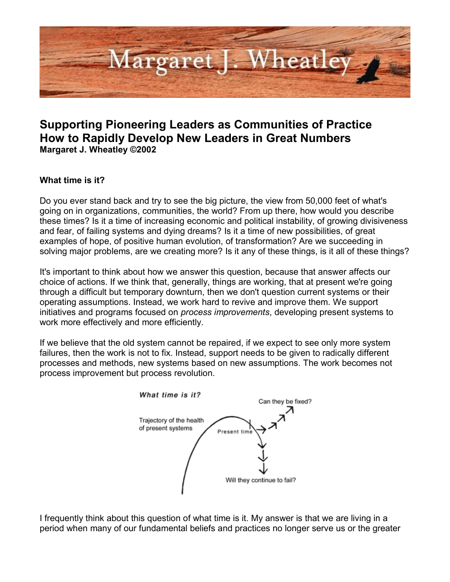

# **Supporting Pioneering Leaders as Communities of Practice How to Rapidly Develop New Leaders in Great Numbers Margaret J. Wheatley ©2002**

## **What time is it?**

Do you ever stand back and try to see the big picture, the view from 50,000 feet of what's going on in organizations, communities, the world? From up there, how would you describe these times? Is it a time of increasing economic and political instability, of growing divisiveness and fear, of failing systems and dying dreams? Is it a time of new possibilities, of great examples of hope, of positive human evolution, of transformation? Are we succeeding in solving major problems, are we creating more? Is it any of these things, is it all of these things?

It's important to think about how we answer this question, because that answer affects our choice of actions. If we think that, generally, things are working, that at present we're going through a difficult but temporary downturn, then we don't question current systems or their operating assumptions. Instead, we work hard to revive and improve them. We support initiatives and programs focused on *process improvements*, developing present systems to work more effectively and more efficiently.

If we believe that the old system cannot be repaired, if we expect to see only more system failures, then the work is not to fix. Instead, support needs to be given to radically different processes and methods, new systems based on new assumptions. The work becomes not process improvement but process revolution.



I frequently think about this question of what time is it. My answer is that we are living in a period when many of our fundamental beliefs and practices no longer serve us or the greater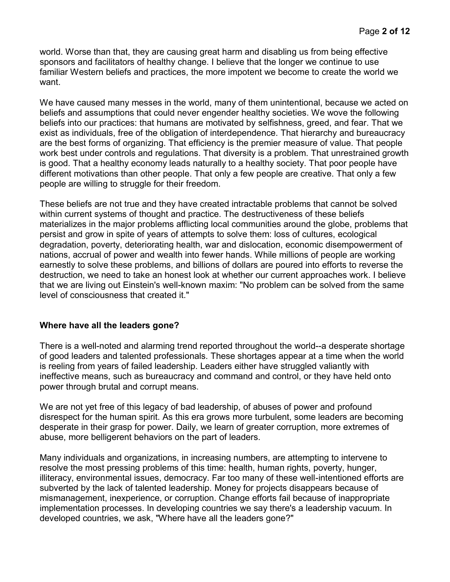world. Worse than that, they are causing great harm and disabling us from being effective sponsors and facilitators of healthy change. I believe that the longer we continue to use familiar Western beliefs and practices, the more impotent we become to create the world we want.

We have caused many messes in the world, many of them unintentional, because we acted on beliefs and assumptions that could never engender healthy societies. We wove the following beliefs into our practices: that humans are motivated by selfishness, greed, and fear. That we exist as individuals, free of the obligation of interdependence. That hierarchy and bureaucracy are the best forms of organizing. That efficiency is the premier measure of value. That people work best under controls and regulations. That diversity is a problem. That unrestrained growth is good. That a healthy economy leads naturally to a healthy society. That poor people have different motivations than other people. That only a few people are creative. That only a few people are willing to struggle for their freedom.

These beliefs are not true and they have created intractable problems that cannot be solved within current systems of thought and practice. The destructiveness of these beliefs materializes in the major problems afflicting local communities around the globe, problems that persist and grow in spite of years of attempts to solve them: loss of cultures, ecological degradation, poverty, deteriorating health, war and dislocation, economic disempowerment of nations, accrual of power and wealth into fewer hands. While millions of people are working earnestly to solve these problems, and billions of dollars are poured into efforts to reverse the destruction, we need to take an honest look at whether our current approaches work. I believe that we are living out Einstein's well-known maxim: "No problem can be solved from the same level of consciousness that created it."

#### **Where have all the leaders gone?**

There is a well-noted and alarming trend reported throughout the world--a desperate shortage of good leaders and talented professionals. These shortages appear at a time when the world is reeling from years of failed leadership. Leaders either have struggled valiantly with ineffective means, such as bureaucracy and command and control, or they have held onto power through brutal and corrupt means.

We are not yet free of this legacy of bad leadership, of abuses of power and profound disrespect for the human spirit. As this era grows more turbulent, some leaders are becoming desperate in their grasp for power. Daily, we learn of greater corruption, more extremes of abuse, more belligerent behaviors on the part of leaders.

Many individuals and organizations, in increasing numbers, are attempting to intervene to resolve the most pressing problems of this time: health, human rights, poverty, hunger, illiteracy, environmental issues, democracy. Far too many of these well-intentioned efforts are subverted by the lack of talented leadership. Money for projects disappears because of mismanagement, inexperience, or corruption. Change efforts fail because of inappropriate implementation processes. In developing countries we say there's a leadership vacuum. In developed countries, we ask, "Where have all the leaders gone?"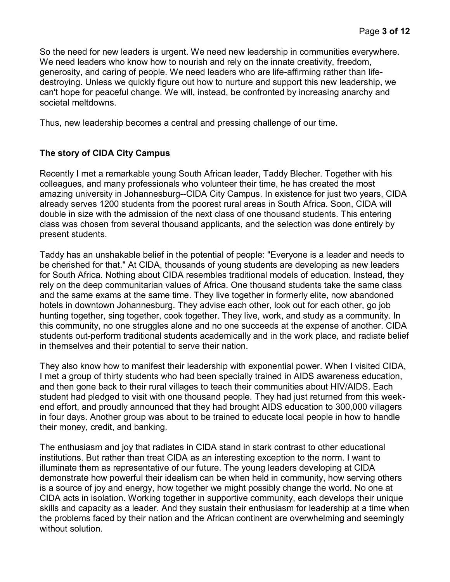So the need for new leaders is urgent. We need new leadership in communities everywhere. We need leaders who know how to nourish and rely on the innate creativity, freedom, generosity, and caring of people. We need leaders who are life-affirming rather than lifedestroying. Unless we quickly figure out how to nurture and support this new leadership, we can't hope for peaceful change. We will, instead, be confronted by increasing anarchy and societal meltdowns.

Thus, new leadership becomes a central and pressing challenge of our time.

## **The story of CIDA City Campus**

Recently I met a remarkable young South African leader, Taddy Blecher. Together with his colleagues, and many professionals who volunteer their time, he has created the most amazing university in Johannesburg--CIDA City Campus. In existence for just two years, CIDA already serves 1200 students from the poorest rural areas in South Africa. Soon, CIDA will double in size with the admission of the next class of one thousand students. This entering class was chosen from several thousand applicants, and the selection was done entirely by present students.

Taddy has an unshakable belief in the potential of people: "Everyone is a leader and needs to be cherished for that." At CIDA, thousands of young students are developing as new leaders for South Africa. Nothing about CIDA resembles traditional models of education. Instead, they rely on the deep communitarian values of Africa. One thousand students take the same class and the same exams at the same time. They live together in formerly elite, now abandoned hotels in downtown Johannesburg. They advise each other, look out for each other, go job hunting together, sing together, cook together. They live, work, and study as a community. In this community, no one struggles alone and no one succeeds at the expense of another. CIDA students out-perform traditional students academically and in the work place, and radiate belief in themselves and their potential to serve their nation.

They also know how to manifest their leadership with exponential power. When I visited CIDA, I met a group of thirty students who had been specially trained in AIDS awareness education, and then gone back to their rural villages to teach their communities about HIV/AIDS. Each student had pledged to visit with one thousand people. They had just returned from this weekend effort, and proudly announced that they had brought AIDS education to 300,000 villagers in four days. Another group was about to be trained to educate local people in how to handle their money, credit, and banking.

The enthusiasm and joy that radiates in CIDA stand in stark contrast to other educational institutions. But rather than treat CIDA as an interesting exception to the norm. I want to illuminate them as representative of our future. The young leaders developing at CIDA demonstrate how powerful their idealism can be when held in community, how serving others is a source of joy and energy, how together we might possibly change the world. No one at CIDA acts in isolation. Working together in supportive community, each develops their unique skills and capacity as a leader. And they sustain their enthusiasm for leadership at a time when the problems faced by their nation and the African continent are overwhelming and seemingly without solution.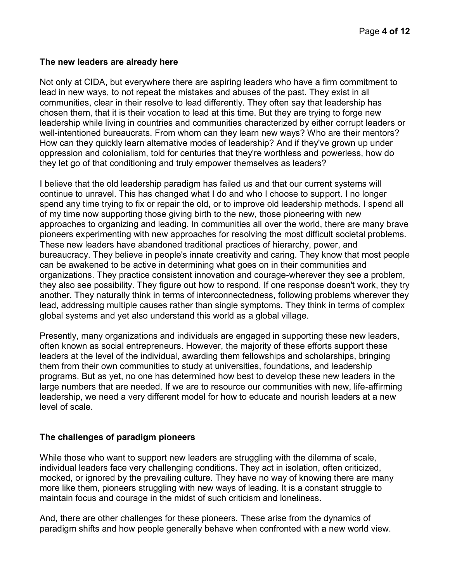#### **The new leaders are already here**

Not only at CIDA, but everywhere there are aspiring leaders who have a firm commitment to lead in new ways, to not repeat the mistakes and abuses of the past. They exist in all communities, clear in their resolve to lead differently. They often say that leadership has chosen them, that it is their vocation to lead at this time. But they are trying to forge new leadership while living in countries and communities characterized by either corrupt leaders or well-intentioned bureaucrats. From whom can they learn new ways? Who are their mentors? How can they quickly learn alternative modes of leadership? And if they've grown up under oppression and colonialism, told for centuries that they're worthless and powerless, how do they let go of that conditioning and truly empower themselves as leaders?

I believe that the old leadership paradigm has failed us and that our current systems will continue to unravel. This has changed what I do and who I choose to support. I no longer spend any time trying to fix or repair the old, or to improve old leadership methods. I spend all of my time now supporting those giving birth to the new, those pioneering with new approaches to organizing and leading. In communities all over the world, there are many brave pioneers experimenting with new approaches for resolving the most difficult societal problems. These new leaders have abandoned traditional practices of hierarchy, power, and bureaucracy. They believe in people's innate creativity and caring. They know that most people can be awakened to be active in determining what goes on in their communities and organizations. They practice consistent innovation and courage-wherever they see a problem, they also see possibility. They figure out how to respond. If one response doesn't work, they try another. They naturally think in terms of interconnectedness, following problems wherever they lead, addressing multiple causes rather than single symptoms. They think in terms of complex global systems and yet also understand this world as a global village.

Presently, many organizations and individuals are engaged in supporting these new leaders, often known as social entrepreneurs. However, the majority of these efforts support these leaders at the level of the individual, awarding them fellowships and scholarships, bringing them from their own communities to study at universities, foundations, and leadership programs. But as yet, no one has determined how best to develop these new leaders in the large numbers that are needed. If we are to resource our communities with new, life-affirming leadership, we need a very different model for how to educate and nourish leaders at a new level of scale.

#### **The challenges of paradigm pioneers**

While those who want to support new leaders are struggling with the dilemma of scale, individual leaders face very challenging conditions. They act in isolation, often criticized, mocked, or ignored by the prevailing culture. They have no way of knowing there are many more like them, pioneers struggling with new ways of leading. It is a constant struggle to maintain focus and courage in the midst of such criticism and loneliness.

And, there are other challenges for these pioneers. These arise from the dynamics of paradigm shifts and how people generally behave when confronted with a new world view.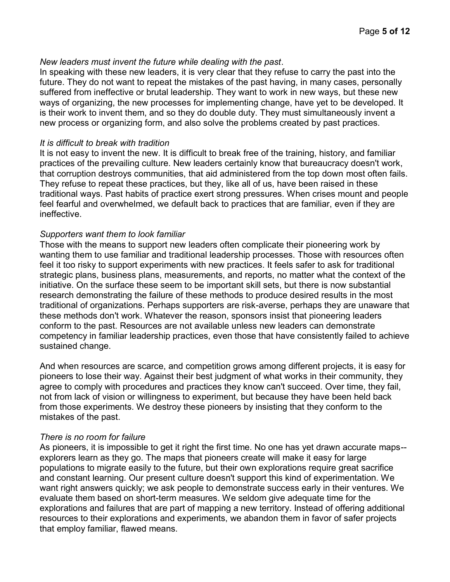#### *New leaders must invent the future while dealing with the past*.

In speaking with these new leaders, it is very clear that they refuse to carry the past into the future. They do not want to repeat the mistakes of the past having, in many cases, personally suffered from ineffective or brutal leadership. They want to work in new ways, but these new ways of organizing, the new processes for implementing change, have yet to be developed. It is their work to invent them, and so they do double duty. They must simultaneously invent a new process or organizing form, and also solve the problems created by past practices.

#### *It is difficult to break with tradition*

It is not easy to invent the new. It is difficult to break free of the training, history, and familiar practices of the prevailing culture. New leaders certainly know that bureaucracy doesn't work, that corruption destroys communities, that aid administered from the top down most often fails. They refuse to repeat these practices, but they, like all of us, have been raised in these traditional ways. Past habits of practice exert strong pressures. When crises mount and people feel fearful and overwhelmed, we default back to practices that are familiar, even if they are ineffective.

#### *Supporters want them to look familiar*

Those with the means to support new leaders often complicate their pioneering work by wanting them to use familiar and traditional leadership processes. Those with resources often feel it too risky to support experiments with new practices. It feels safer to ask for traditional strategic plans, business plans, measurements, and reports, no matter what the context of the initiative. On the surface these seem to be important skill sets, but there is now substantial research demonstrating the failure of these methods to produce desired results in the most traditional of organizations. Perhaps supporters are risk-averse, perhaps they are unaware that these methods don't work. Whatever the reason, sponsors insist that pioneering leaders conform to the past. Resources are not available unless new leaders can demonstrate competency in familiar leadership practices, even those that have consistently failed to achieve sustained change.

And when resources are scarce, and competition grows among different projects, it is easy for pioneers to lose their way. Against their best judgment of what works in their community, they agree to comply with procedures and practices they know can't succeed. Over time, they fail, not from lack of vision or willingness to experiment, but because they have been held back from those experiments. We destroy these pioneers by insisting that they conform to the mistakes of the past.

#### *There is no room for failure*

As pioneers, it is impossible to get it right the first time. No one has yet drawn accurate maps- explorers learn as they go. The maps that pioneers create will make it easy for large populations to migrate easily to the future, but their own explorations require great sacrifice and constant learning. Our present culture doesn't support this kind of experimentation. We want right answers quickly; we ask people to demonstrate success early in their ventures. We evaluate them based on short-term measures. We seldom give adequate time for the explorations and failures that are part of mapping a new territory. Instead of offering additional resources to their explorations and experiments, we abandon them in favor of safer projects that employ familiar, flawed means.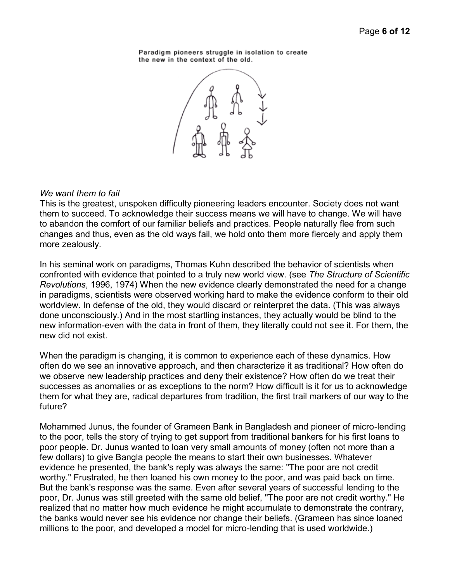Paradigm pioneers struggle in isolation to create the new in the context of the old.



#### *We want them to fail*

This is the greatest, unspoken difficulty pioneering leaders encounter. Society does not want them to succeed. To acknowledge their success means we will have to change. We will have to abandon the comfort of our familiar beliefs and practices. People naturally flee from such changes and thus, even as the old ways fail, we hold onto them more fiercely and apply them more zealously.

In his seminal work on paradigms, Thomas Kuhn described the behavior of scientists when confronted with evidence that pointed to a truly new world view. (see *The Structure of Scientific Revolutions*, 1996, 1974) When the new evidence clearly demonstrated the need for a change in paradigms, scientists were observed working hard to make the evidence conform to their old worldview. In defense of the old, they would discard or reinterpret the data. (This was always done unconsciously.) And in the most startling instances, they actually would be blind to the new information-even with the data in front of them, they literally could not see it. For them, the new did not exist.

When the paradigm is changing, it is common to experience each of these dynamics. How often do we see an innovative approach, and then characterize it as traditional? How often do we observe new leadership practices and deny their existence? How often do we treat their successes as anomalies or as exceptions to the norm? How difficult is it for us to acknowledge them for what they are, radical departures from tradition, the first trail markers of our way to the future?

Mohammed Junus, the founder of Grameen Bank in Bangladesh and pioneer of micro-lending to the poor, tells the story of trying to get support from traditional bankers for his first loans to poor people. Dr. Junus wanted to loan very small amounts of money (often not more than a few dollars) to give Bangla people the means to start their own businesses. Whatever evidence he presented, the bank's reply was always the same: "The poor are not credit worthy." Frustrated, he then loaned his own money to the poor, and was paid back on time. But the bank's response was the same. Even after several years of successful lending to the poor, Dr. Junus was still greeted with the same old belief, "The poor are not credit worthy." He realized that no matter how much evidence he might accumulate to demonstrate the contrary, the banks would never see his evidence nor change their beliefs. (Grameen has since loaned millions to the poor, and developed a model for micro-lending that is used worldwide.)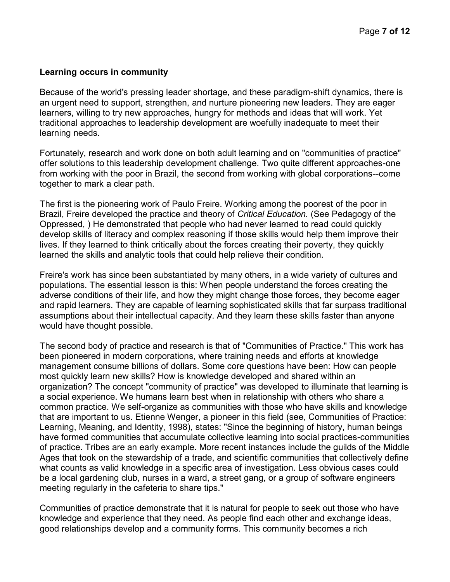### **Learning occurs in community**

Because of the world's pressing leader shortage, and these paradigm-shift dynamics, there is an urgent need to support, strengthen, and nurture pioneering new leaders. They are eager learners, willing to try new approaches, hungry for methods and ideas that will work. Yet traditional approaches to leadership development are woefully inadequate to meet their learning needs.

Fortunately, research and work done on both adult learning and on "communities of practice" offer solutions to this leadership development challenge. Two quite different approaches-one from working with the poor in Brazil, the second from working with global corporations--come together to mark a clear path.

The first is the pioneering work of Paulo Freire. Working among the poorest of the poor in Brazil, Freire developed the practice and theory of *Critical Education.* (See Pedagogy of the Oppressed, ) He demonstrated that people who had never learned to read could quickly develop skills of literacy and complex reasoning if those skills would help them improve their lives. If they learned to think critically about the forces creating their poverty, they quickly learned the skills and analytic tools that could help relieve their condition.

Freire's work has since been substantiated by many others, in a wide variety of cultures and populations. The essential lesson is this: When people understand the forces creating the adverse conditions of their life, and how they might change those forces, they become eager and rapid learners. They are capable of learning sophisticated skills that far surpass traditional assumptions about their intellectual capacity. And they learn these skills faster than anyone would have thought possible.

The second body of practice and research is that of "Communities of Practice." This work has been pioneered in modern corporations, where training needs and efforts at knowledge management consume billions of dollars. Some core questions have been: How can people most quickly learn new skills? How is knowledge developed and shared within an organization? The concept "community of practice" was developed to illuminate that learning is a social experience. We humans learn best when in relationship with others who share a common practice. We self-organize as communities with those who have skills and knowledge that are important to us. Etienne Wenger, a pioneer in this field (see, Communities of Practice: Learning, Meaning, and Identity, 1998), states: "Since the beginning of history, human beings have formed communities that accumulate collective learning into social practices-communities of practice. Tribes are an early example. More recent instances include the guilds of the Middle Ages that took on the stewardship of a trade, and scientific communities that collectively define what counts as valid knowledge in a specific area of investigation. Less obvious cases could be a local gardening club, nurses in a ward, a street gang, or a group of software engineers meeting regularly in the cafeteria to share tips."

Communities of practice demonstrate that it is natural for people to seek out those who have knowledge and experience that they need. As people find each other and exchange ideas, good relationships develop and a community forms. This community becomes a rich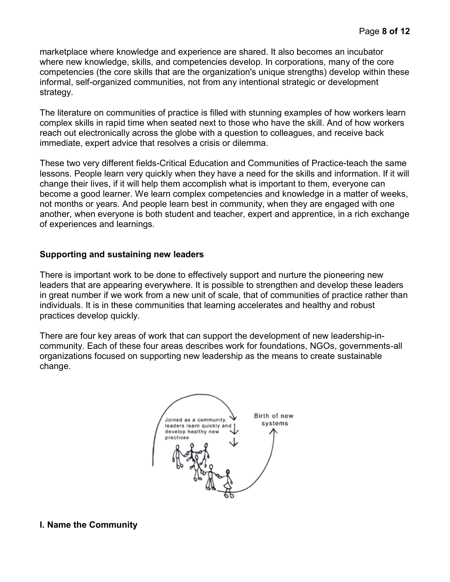marketplace where knowledge and experience are shared. It also becomes an incubator where new knowledge, skills, and competencies develop. In corporations, many of the core competencies (the core skills that are the organization's unique strengths) develop within these informal, self-organized communities, not from any intentional strategic or development strategy.

The literature on communities of practice is filled with stunning examples of how workers learn complex skills in rapid time when seated next to those who have the skill. And of how workers reach out electronically across the globe with a question to colleagues, and receive back immediate, expert advice that resolves a crisis or dilemma.

These two very different fields-Critical Education and Communities of Practice-teach the same lessons. People learn very quickly when they have a need for the skills and information. If it will change their lives, if it will help them accomplish what is important to them, everyone can become a good learner. We learn complex competencies and knowledge in a matter of weeks, not months or years. And people learn best in community, when they are engaged with one another, when everyone is both student and teacher, expert and apprentice, in a rich exchange of experiences and learnings.

## **Supporting and sustaining new leaders**

There is important work to be done to effectively support and nurture the pioneering new leaders that are appearing everywhere. It is possible to strengthen and develop these leaders in great number if we work from a new unit of scale, that of communities of practice rather than individuals. It is in these communities that learning accelerates and healthy and robust practices develop quickly.

There are four key areas of work that can support the development of new leadership-incommunity. Each of these four areas describes work for foundations, NGOs, governments-all organizations focused on supporting new leadership as the means to create sustainable change.



**I. Name the Community**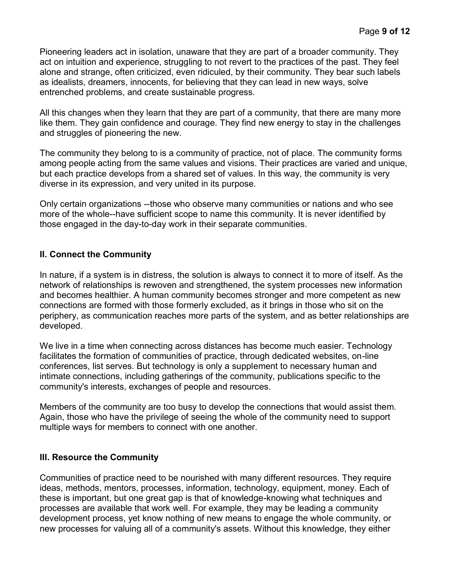Pioneering leaders act in isolation, unaware that they are part of a broader community. They act on intuition and experience, struggling to not revert to the practices of the past. They feel alone and strange, often criticized, even ridiculed, by their community. They bear such labels as idealists, dreamers, innocents, for believing that they can lead in new ways, solve entrenched problems, and create sustainable progress.

All this changes when they learn that they are part of a community, that there are many more like them. They gain confidence and courage. They find new energy to stay in the challenges and struggles of pioneering the new.

The community they belong to is a community of practice, not of place. The community forms among people acting from the same values and visions. Their practices are varied and unique, but each practice develops from a shared set of values. In this way, the community is very diverse in its expression, and very united in its purpose.

Only certain organizations --those who observe many communities or nations and who see more of the whole--have sufficient scope to name this community. It is never identified by those engaged in the day-to-day work in their separate communities.

## **II. Connect the Community**

In nature, if a system is in distress, the solution is always to connect it to more of itself. As the network of relationships is rewoven and strengthened, the system processes new information and becomes healthier. A human community becomes stronger and more competent as new connections are formed with those formerly excluded, as it brings in those who sit on the periphery, as communication reaches more parts of the system, and as better relationships are developed.

We live in a time when connecting across distances has become much easier. Technology facilitates the formation of communities of practice, through dedicated websites, on-line conferences, list serves. But technology is only a supplement to necessary human and intimate connections, including gatherings of the community, publications specific to the community's interests, exchanges of people and resources.

Members of the community are too busy to develop the connections that would assist them. Again, those who have the privilege of seeing the whole of the community need to support multiple ways for members to connect with one another.

## **III. Resource the Community**

Communities of practice need to be nourished with many different resources. They require ideas, methods, mentors, processes, information, technology, equipment, money. Each of these is important, but one great gap is that of knowledge-knowing what techniques and processes are available that work well. For example, they may be leading a community development process, yet know nothing of new means to engage the whole community, or new processes for valuing all of a community's assets. Without this knowledge, they either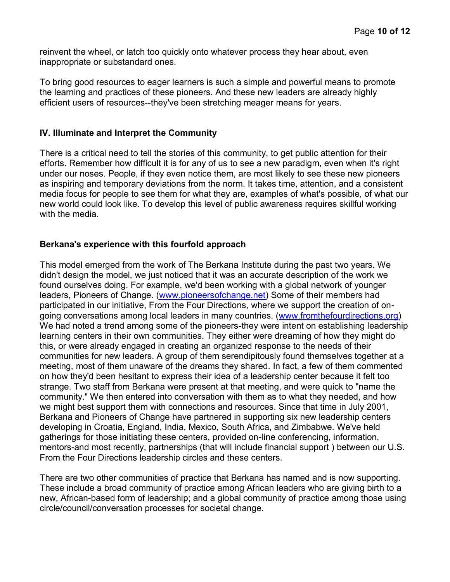reinvent the wheel, or latch too quickly onto whatever process they hear about, even inappropriate or substandard ones.

To bring good resources to eager learners is such a simple and powerful means to promote the learning and practices of these pioneers. And these new leaders are already highly efficient users of resources--they've been stretching meager means for years.

#### **IV. Illuminate and Interpret the Community**

There is a critical need to tell the stories of this community, to get public attention for their efforts. Remember how difficult it is for any of us to see a new paradigm, even when it's right under our noses. People, if they even notice them, are most likely to see these new pioneers as inspiring and temporary deviations from the norm. It takes time, attention, and a consistent media focus for people to see them for what they are, examples of what's possible, of what our new world could look like. To develop this level of public awareness requires skillful working with the media.

#### **Berkana's experience with this fourfold approach**

This model emerged from the work of The Berkana Institute during the past two years. We didn't design the model, we just noticed that it was an accurate description of the work we found ourselves doing. For example, we'd been working with a global network of younger leaders, Pioneers of Change. [\(www.pioneersofchange.net\)](http://www.pioneersofchange.net/) Some of their members had participated in our initiative, From the Four Directions, where we support the creation of ongoing conversations among local leaders in many countries. [\(www.fromthefourdirections.org\)](http://fromthefourdirecitons.org/) We had noted a trend among some of the pioneers-they were intent on establishing leadership learning centers in their own communities. They either were dreaming of how they might do this, or were already engaged in creating an organized response to the needs of their communities for new leaders. A group of them serendipitously found themselves together at a meeting, most of them unaware of the dreams they shared. In fact, a few of them commented on how they'd been hesitant to express their idea of a leadership center because it felt too strange. Two staff from Berkana were present at that meeting, and were quick to "name the community." We then entered into conversation with them as to what they needed, and how we might best support them with connections and resources. Since that time in July 2001, Berkana and Pioneers of Change have partnered in supporting six new leadership centers developing in Croatia, England, India, Mexico, South Africa, and Zimbabwe. We've held gatherings for those initiating these centers, provided on-line conferencing, information, mentors-and most recently, partnerships (that will include financial support ) between our U.S. From the Four Directions leadership circles and these centers.

There are two other communities of practice that Berkana has named and is now supporting. These include a broad community of practice among African leaders who are giving birth to a new, African-based form of leadership; and a global community of practice among those using circle/council/conversation processes for societal change.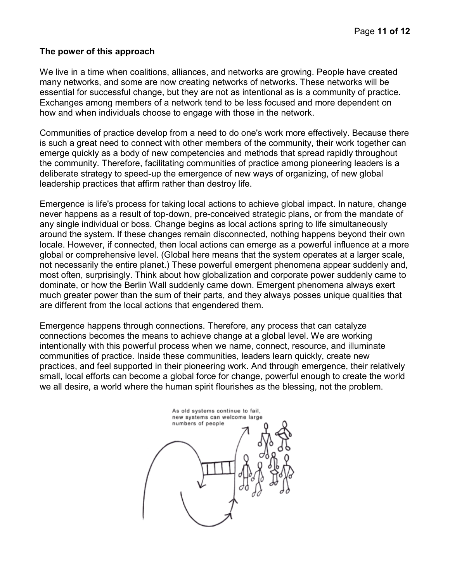### **The power of this approach**

We live in a time when coalitions, alliances, and networks are growing. People have created many networks, and some are now creating networks of networks. These networks will be essential for successful change, but they are not as intentional as is a community of practice. Exchanges among members of a network tend to be less focused and more dependent on how and when individuals choose to engage with those in the network.

Communities of practice develop from a need to do one's work more effectively. Because there is such a great need to connect with other members of the community, their work together can emerge quickly as a body of new competencies and methods that spread rapidly throughout the community. Therefore, facilitating communities of practice among pioneering leaders is a deliberate strategy to speed-up the emergence of new ways of organizing, of new global leadership practices that affirm rather than destroy life.

Emergence is life's process for taking local actions to achieve global impact. In nature, change never happens as a result of top-down, pre-conceived strategic plans, or from the mandate of any single individual or boss. Change begins as local actions spring to life simultaneously around the system. If these changes remain disconnected, nothing happens beyond their own locale. However, if connected, then local actions can emerge as a powerful influence at a more global or comprehensive level. (Global here means that the system operates at a larger scale, not necessarily the entire planet.) These powerful emergent phenomena appear suddenly and, most often, surprisingly. Think about how globalization and corporate power suddenly came to dominate, or how the Berlin Wall suddenly came down. Emergent phenomena always exert much greater power than the sum of their parts, and they always posses unique qualities that are different from the local actions that engendered them.

Emergence happens through connections. Therefore, any process that can catalyze connections becomes the means to achieve change at a global level. We are working intentionally with this powerful process when we name, connect, resource, and illuminate communities of practice. Inside these communities, leaders learn quickly, create new practices, and feel supported in their pioneering work. And through emergence, their relatively small, local efforts can become a global force for change, powerful enough to create the world we all desire, a world where the human spirit flourishes as the blessing, not the problem.